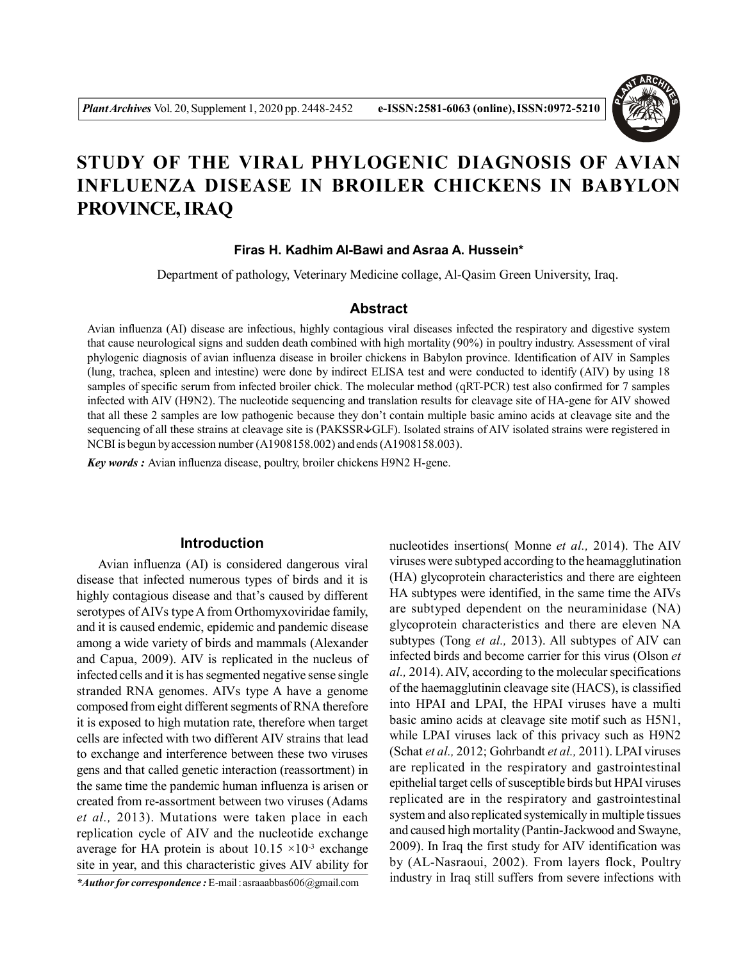

# **STUDY OF THE VIRAL PHYLOGENIC DIAGNOSIS OF AVIAN INFLUENZA DISEASE IN BROILER CHICKENS IN BABYLON PROVINCE, IRAQ**

## **Firas H. Kadhim Al-Bawi and Asraa A. Hussein\***

Department of pathology, Veterinary Medicine collage, Al-Qasim Green University, Iraq.

# **Abstract**

Avian influenza (AI) disease are infectious, highly contagious viral diseases infected the respiratory and digestive system that cause neurological signs and sudden death combined with high mortality (90%) in poultry industry. Assessment of viral phylogenic diagnosis of avian influenza disease in broiler chickens in Babylon province. Identification of AIV in Samples (lung, trachea, spleen and intestine) were done by indirect ELISA test and were conducted to identify (AIV) by using 18 samples of specific serum from infected broiler chick. The molecular method (qRT-PCR) test also confirmed for 7 samples infected with AIV (H9N2). The nucleotide sequencing and translation results for cleavage site of HA-gene for AIV showed that all these 2 samples are low pathogenic because they don't contain multiple basic amino acids at cleavage site and the sequencing of all these strains at cleavage site is (PAKSSR $\psi$ GLF). Isolated strains of AIV isolated strains were registered in NCBI is begun by accession number (A1908158.002) and ends (A1908158.003).

*Key words :* Avian influenza disease, poultry, broiler chickens H9N2 H-gene.

## **Introduction**

Avian influenza (AI) is considered dangerous viral disease that infected numerous types of birds and it is highly contagious disease and that's caused by different serotypes of AIVs type A from Orthomyxoviridae family, and it is caused endemic, epidemic and pandemic disease among a wide variety of birds and mammals (Alexander and Capua, 2009). AIV is replicated in the nucleus of infected cells and it is has segmented negative sense single stranded RNA genomes. AIVs type A have a genome composed from eight different segments of RNA therefore it is exposed to high mutation rate, therefore when target cells are infected with two different AIV strains that lead to exchange and interference between these two viruses gens and that called genetic interaction (reassortment) in the same time the pandemic human influenza is arisen or created from re-assortment between two viruses (Adams *et al.,* 2013). Mutations were taken place in each replication cycle of AIV and the nucleotide exchange average for HA protein is about  $10.15 \times 10^{-3}$  exchange site in year, and this characteristic gives AIV ability for

*\*Author for correspondence :* E-mail : asraaabbas606@gmail.com

nucleotides insertions( Monne *et al.,* 2014). The AIV viruses were subtyped according to the heamagglutination (HA) glycoprotein characteristics and there are eighteen HA subtypes were identified, in the same time the AIVs are subtyped dependent on the neuraminidase (NA) glycoprotein characteristics and there are eleven NA subtypes (Tong *et al.,* 2013). All subtypes of AIV can infected birds and become carrier for this virus (Olson *et al.,* 2014). AIV, according to the molecular specifications of the haemagglutinin cleavage site (HACS), is classified into HPAI and LPAI, the HPAI viruses have a multi basic amino acids at cleavage site motif such as H5N1, while LPAI viruses lack of this privacy such as H9N2 (Schat *et al.,* 2012; Gohrbandt *et al.,* 2011). LPAI viruses are replicated in the respiratory and gastrointestinal epithelial target cells of susceptible birds but HPAI viruses replicated are in the respiratory and gastrointestinal system and also replicated systemically in multiple tissues and caused high mortality (Pantin-Jackwood and Swayne, 2009). In Iraq the first study for AIV identification was by (AL-Nasraoui, 2002). From layers flock, Poultry industry in Iraq still suffers from severe infections with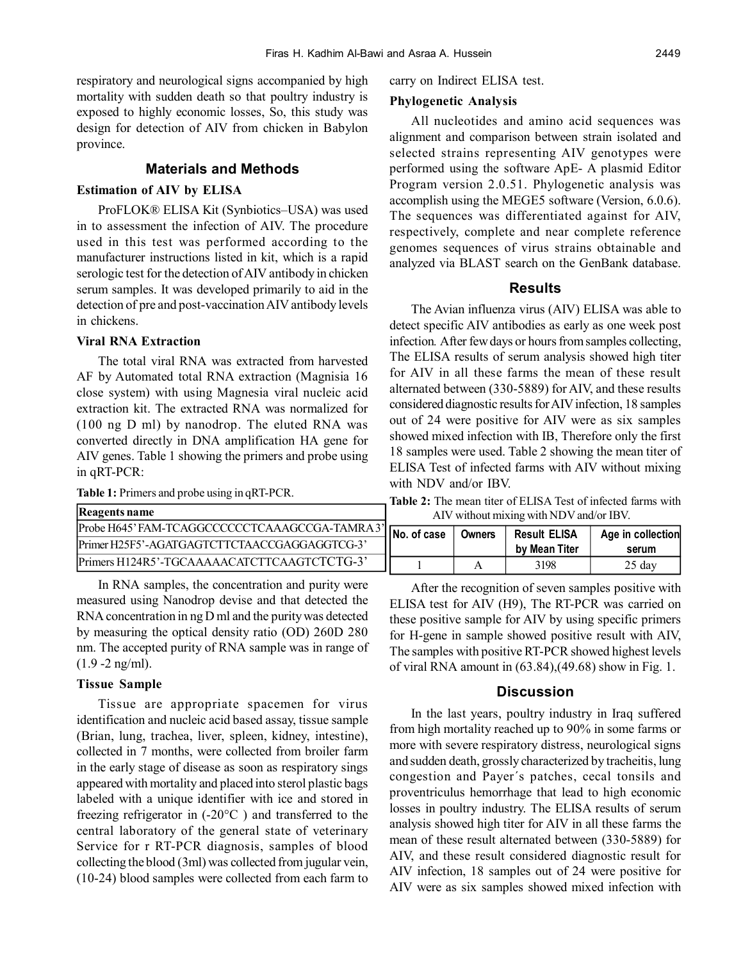respiratory and neurological signs accompanied by high mortality with sudden death so that poultry industry is exposed to highly economic losses, So, this study was design for detection of AIV from chicken in Babylon province.

### **Materials and Methods**

## **Estimation of AIV by ELISA**

ProFLOK® ELISA Kit (Synbiotics–USA) was used in to assessment the infection of AIV. The procedure used in this test was performed according to the manufacturer instructions listed in kit, which is a rapid serologic test for the detection of AIV antibody in chicken serum samples. It was developed primarily to aid in the detection of pre and post-vaccination AIV antibody levels in chickens.

## **Viral RNA Extraction**

The total viral RNA was extracted from harvested AF by Automated total RNA extraction (Magnisia 16 close system) with using Magnesia viral nucleic acid extraction kit. The extracted RNA was normalized for (100 ng D ml) by nanodrop. The eluted RNA was converted directly in DNA amplification HA gene for AIV genes. Table 1 showing the primers and probe using in qRT-PCR:

**Table 1:** Primers and probe using in qRT-PCR.

| <b>Reagents name</b>                          |
|-----------------------------------------------|
| Probe H645' FAM-TCAGGCCCCCCTCAAAGCCGA-TAMRA3' |
| Primer H25F5'-AGATGAGTCTTCTAACCGAGGAGGTCG-3'  |
| Primers H124R5'-TGCAAAAACATCTTCAAGTCTCTG-3'   |

In RNA samples, the concentration and purity were measured using Nanodrop devise and that detected the RNA concentration in ng D ml and the purity was detected by measuring the optical density ratio (OD) 260D 280 nm. The accepted purity of RNA sample was in range of  $(1.9 - 2$  ng/ml).

### **Tissue Sample**

Tissue are appropriate spacemen for virus identification and nucleic acid based assay, tissue sample (Brian, lung, trachea, liver, spleen, kidney, intestine), collected in 7 months, were collected from broiler farm in the early stage of disease as soon as respiratory sings appeared with mortality and placed into sterol plastic bags labeled with a unique identifier with ice and stored in freezing refrigerator in (-20°C ) and transferred to the central laboratory of the general state of veterinary Service for r RT-PCR diagnosis, samples of blood collecting the blood (3ml) was collected from jugular vein, (10-24) blood samples were collected from each farm to carry on Indirect ELISA test.

#### **Phylogenetic Analysis**

All nucleotides and amino acid sequences was alignment and comparison between strain isolated and selected strains representing AIV genotypes were performed using the software ApE- A plasmid Editor Program version 2.0.51. Phylogenetic analysis was accomplish using the MEGE5 software (Version, 6.0.6). The sequences was differentiated against for AIV, respectively, complete and near complete reference genomes sequences of virus strains obtainable and analyzed via BLAST search on the GenBank database.

#### **Results**

The Avian influenza virus (AIV) ELISA was able to detect specific AIV antibodies as early as one week post infection*.* After few days or hours from samples collecting, The ELISA results of serum analysis showed high titer for AIV in all these farms the mean of these result alternated between (330-5889) for AIV, and these results considered diagnostic results for AIV infection, 18 samples out of 24 were positive for AIV were as six samples showed mixed infection with IB, Therefore only the first 18 samples were used. Table 2 showing the mean titer of ELISA Test of infected farms with AIV without mixing with NDV and/or IBV.

**Table 2:** The mean titer of ELISA Test of infected farms with AIV without mixing with NDV and/or IBV.

| $\vert$ No. of case $\vert$ | Owners | <b>Result ELISA</b><br>by Mean Titer | Age in collection<br>serum |  |  |
|-----------------------------|--------|--------------------------------------|----------------------------|--|--|
|                             |        | 3198                                 | $25 \text{ day}$           |  |  |

After the recognition of seven samples positive with ELISA test for AIV (H9), The RT-PCR was carried on these positive sample for AIV by using specific primers for H-gene in sample showed positive result with AIV, The samples with positive RT-PCR showed highest levels of viral RNA amount in (63.84),(49.68) show in Fig. 1.

## **Discussion**

In the last years, poultry industry in Iraq suffered from high mortality reached up to 90% in some farms or more with severe respiratory distress, neurological signs and sudden death, grossly characterized by tracheitis, lung congestion and Payer´s patches, cecal tonsils and proventriculus hemorrhage that lead to high economic losses in poultry industry. The ELISA results of serum analysis showed high titer for AIV in all these farms the mean of these result alternated between (330-5889) for AIV, and these result considered diagnostic result for AIV infection, 18 samples out of 24 were positive for AIV were as six samples showed mixed infection with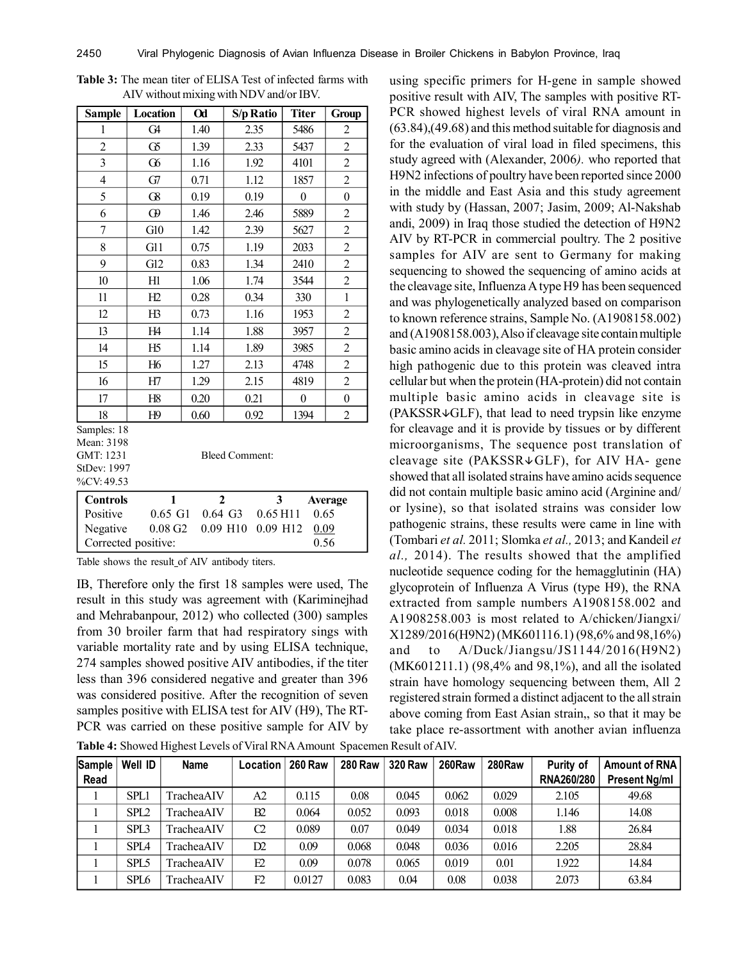| <b>Sample</b>                      | Location                                              | $\alpha$     | S/p Ratio                         | <b>Titer</b>     | Group            |  |  |  |  |
|------------------------------------|-------------------------------------------------------|--------------|-----------------------------------|------------------|------------------|--|--|--|--|
| 1                                  | G <sub>4</sub>                                        | 1.40         | 2.35                              | 5486             | $\overline{c}$   |  |  |  |  |
| $\overline{2}$                     | $\sigma$                                              | 1.39         | 2.33                              | 5437             | $\overline{2}$   |  |  |  |  |
| $\overline{3}$                     | $\alpha$                                              | 1.16         | 1.92                              | 4101             | $\overline{2}$   |  |  |  |  |
| $\overline{4}$                     | G7                                                    | 0.71         | 1.12                              | 1857             | $\overline{c}$   |  |  |  |  |
| 5                                  | $\Omega$                                              | 0.19         | 0.19                              | 0                | $\overline{0}$   |  |  |  |  |
| 6                                  | $\boldsymbol{\omega}$                                 | 1.46         | 2.46                              | 5889             | $\overline{c}$   |  |  |  |  |
| 7                                  | G10                                                   | 1.42         | 2.39                              | 5627             | $\overline{c}$   |  |  |  |  |
| 8                                  | G11                                                   | 0.75         | 1.19                              | 2033             | $\overline{2}$   |  |  |  |  |
| 9                                  | G12                                                   | 0.83         | 1.34                              | 2410             | $\overline{c}$   |  |  |  |  |
| 10                                 | H1                                                    | 1.06         | 1.74                              | 3544             | $\overline{c}$   |  |  |  |  |
| 11                                 | H2                                                    | 0.28         | 0.34                              | 330              | $\mathbf{1}$     |  |  |  |  |
| 12                                 | H3                                                    | 0.73         | 1.16                              | 1953             | $\overline{c}$   |  |  |  |  |
| 13                                 | H4                                                    | 1.14         | 1.88                              | 3957             | $\overline{2}$   |  |  |  |  |
| 14                                 | H5                                                    | 1.14         | 1.89                              | 3985             | $\overline{c}$   |  |  |  |  |
| 15                                 | H <sub>6</sub>                                        | 1.27         | 2.13                              | 4748             | $\overline{c}$   |  |  |  |  |
| 16                                 | H7                                                    | 1.29         | 2.15                              | 4819             | $\overline{c}$   |  |  |  |  |
| 17                                 | H8                                                    | 0.20         | 0.21                              | $\boldsymbol{0}$ | $\boldsymbol{0}$ |  |  |  |  |
| 18                                 | H9                                                    | 0.60         | 0.92                              | 1394             | $\overline{c}$   |  |  |  |  |
| Samples: 18<br>Mean: 3198          |                                                       |              |                                   |                  |                  |  |  |  |  |
| GMT: 1231<br><b>Bleed Comment:</b> |                                                       |              |                                   |                  |                  |  |  |  |  |
| StDev: 1997                        |                                                       |              |                                   |                  |                  |  |  |  |  |
| %CV: 49.53                         |                                                       |              |                                   |                  |                  |  |  |  |  |
| $\mathbf{1}$<br><b>Controls</b>    |                                                       | $\mathbf{2}$ | 3                                 |                  | Average          |  |  |  |  |
| Positive                           | $0.65\,G1$                                            |              | $0.64$ G <sub>3</sub><br>0.65 H11 | 0.65             |                  |  |  |  |  |
| Negative                           | $0.08$ G <sub>2</sub><br>0.09 H10<br>0.09 H12<br>0.09 |              |                                   |                  |                  |  |  |  |  |
| 0.56<br>Corrected positive:        |                                                       |              |                                   |                  |                  |  |  |  |  |

**Table 3:** The mean titer of ELISA Test of infected farms with AIV without mixing with NDV and/or IBV.

Table shows the result of AIV antibody titers.

IB, Therefore only the first 18 samples were used, The result in this study was agreement with (Kariminejhad and Mehrabanpour, 2012) who collected (300) samples from 30 broiler farm that had respiratory sings with variable mortality rate and by using ELISA technique, 274 samples showed positive AIV antibodies, if the titer less than 396 considered negative and greater than 396 was considered positive. After the recognition of seven samples positive with ELISA test for AIV (H9), The RT-PCR was carried on these positive sample for AIV by

**Table 4:** Showed Highest Levels of Viral RNA Amount Spacemen Result of AIV.

using specific primers for H-gene in sample showed positive result with AIV, The samples with positive RT-PCR showed highest levels of viral RNA amount in (63.84),(49.68) and this method suitable for diagnosis and for the evaluation of viral load in filed specimens, this study agreed with (Alexander, 2006*).* who reported that H9N2 infections of poultry have been reported since 2000 in the middle and East Asia and this study agreement with study by (Hassan, 2007; Jasim, 2009; Al-Nakshab andi, 2009) in Iraq those studied the detection of H9N2 AIV by RT-PCR in commercial poultry. The 2 positive samples for AIV are sent to Germany for making sequencing to showed the sequencing of amino acids at the cleavage site, Influenza A type H9 has been sequenced and was phylogenetically analyzed based on comparison to known reference strains, Sample No. (A1908158.002) and (A1908158.003), Also if cleavage site contain multiple basic amino acids in cleavage site of HA protein consider high pathogenic due to this protein was cleaved intra cellular but when the protein (HA-protein) did not contain multiple basic amino acids in cleavage site is  $(PAKSSR \cup GLF)$ , that lead to need trypsin like enzyme for cleavage and it is provide by tissues or by different microorganisms, The sequence post translation of cleavage site (PAKSSR $\psi$ GLF), for AIV HA- gene showed that all isolated strains have amino acids sequence did not contain multiple basic amino acid (Arginine and/ or lysine), so that isolated strains was consider low pathogenic strains, these results were came in line with (Tombari *et al.* 2011; Slomka *et al.,* 2013; and Kandeil *et al.,* 2014). The results showed that the amplified nucleotide sequence coding for the hemagglutinin (HA) glycoprotein of Influenza A Virus (type H9), the RNA extracted from sample numbers A1908158.002 and A1908258.003 is most related to A/chicken/Jiangxi/ X1289/2016(H9N2) (MK601116.1) (98,6% and 98,16%) and to A/Duck/Jiangsu/JS1144/2016(H9N2) (MK601211.1) (98,4% and 98,1%), and all the isolated strain have homology sequencing between them, All 2 registered strain formed a distinct adjacent to the all strain above coming from East Asian strain,, so that it may be take place re-assortment with another avian influenza

| Sample<br>Read | Well ID          | <b>Name</b>        | Location      | <b>260 Raw</b> | <b>280 Raw</b> | <b>320 Raw</b> | 260Raw | 280Raw | Purity of<br><b>RNA260/280</b> | <b>Amount of RNA</b><br><b>Present Ng/ml</b> |
|----------------|------------------|--------------------|---------------|----------------|----------------|----------------|--------|--------|--------------------------------|----------------------------------------------|
|                | <b>SPL1</b>      | <b>TracheaAIV</b>  | A2            | 0.115          | 0.08           | 0.045          | 0.062  | 0.029  | 2.105                          | 49.68                                        |
|                | SPI <sub>2</sub> | TracheaAIV         | B2            | 0.064          | 0.052          | 0.093          | 0.018  | 0.008  | 1.146                          | 14.08                                        |
|                | SPL <sub>3</sub> | <b>TracheaAIV</b>  | $\mathcal{C}$ | 0.089          | 0.07           | 0.049          | 0.034  | 0.018  | 1.88                           | 26.84                                        |
|                | SPI <sub>4</sub> | <b>TracheaAIV</b>  | D2            | 0.09           | 0.068          | 0.048          | 0.036  | 0.016  | 2.205                          | 28.84                                        |
|                | SPL5             | TracheaAIV         | E2            | 0.09           | 0.078          | 0.065          | 0.019  | 0.01   | 1.922                          | 14.84                                        |
|                | SPL <sub>6</sub> | <b>Trachea AIV</b> | F2            | 0.0127         | 0.083          | 0.04           | 0.08   | 0.038  | 2.073                          | 63.84                                        |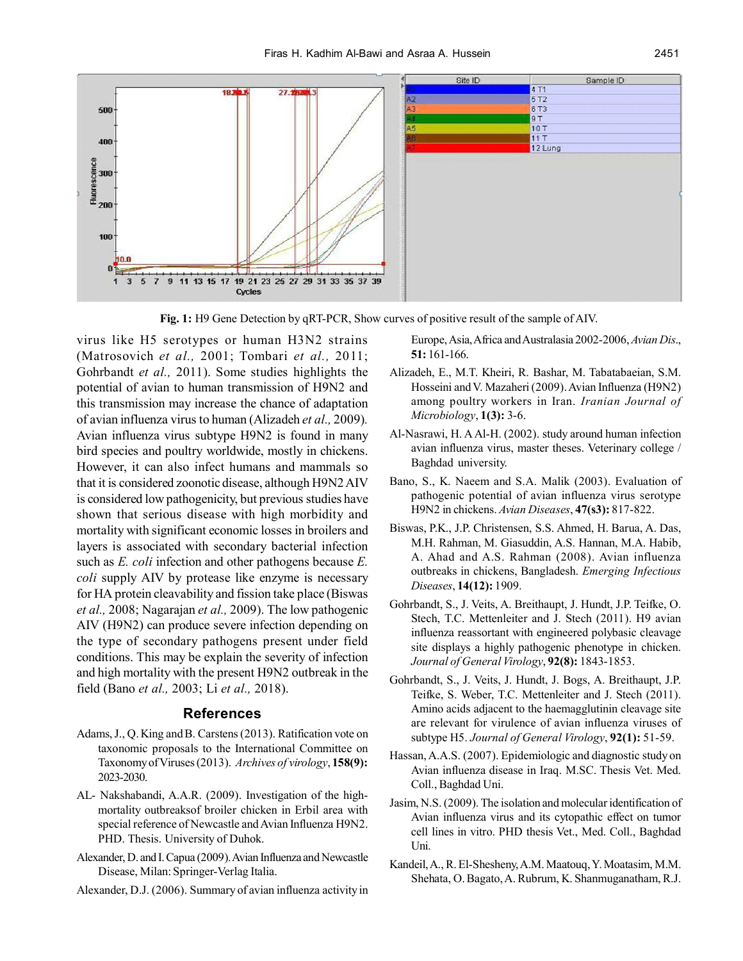

**Fig. 1:** H9 Gene Detection by qRT-PCR, Show curves of positive result of the sample of AIV.

virus like H5 serotypes or human H3N2 strains (Matrosovich *et al.,* 2001; Tombari *et al.,* 2011; Gohrbandt *et al.,* 2011). Some studies highlights the potential of avian to human transmission of H9N2 and this transmission may increase the chance of adaptation of avian influenza virus to human (Alizadeh *et al.,* 2009)*.* Avian influenza virus subtype H9N2 is found in many bird species and poultry worldwide, mostly in chickens. However, it can also infect humans and mammals so that it is considered zoonotic disease, although H9N2 AIV is considered low pathogenicity, but previous studies have shown that serious disease with high morbidity and mortality with significant economic losses in broilers and layers is associated with secondary bacterial infection such as *E. coli* infection and other pathogens because *E. coli* supply AIV by protease like enzyme is necessary for HA protein cleavability and fission take place (Biswas *et al.,* 2008; Nagarajan *et al.,* 2009). The low pathogenic AIV (H9N2) can produce severe infection depending on the type of secondary pathogens present under field conditions. This may be explain the severity of infection and high mortality with the present H9N2 outbreak in the field (Bano *et al.,* 2003; Li *et al.,* 2018).

# **References**

- Adams, J., Q. King and B. Carstens (2013). Ratification vote on taxonomic proposals to the International Committee on Taxonomy of Viruses (2013). *Archives of virology*, **158(9):** 2023-2030.
- AL- Nakshabandi, A.A.R. (2009). Investigation of the highmortality outbreaksof broiler chicken in Erbil area with special reference of Newcastle and Avian Influenza H9N2. PHD. Thesis. University of Duhok.
- Alexander, D. and I. Capua (2009). Avian Influenza and Newcastle Disease, Milan: Springer-Verlag Italia.
- Alexander, D.J. (2006). Summary of avian influenza activity in

Europe, Asia, Africa and Australasia 2002-2006, *Avian Dis*., **51:** 161-166.

- Alizadeh, E., M.T. Kheiri, R. Bashar, M. Tabatabaeian, S.M. Hosseini and V. Mazaheri (2009). Avian Influenza (H9N2) among poultry workers in Iran. *Iranian Journal of Microbiology*, **1(3):** 3-6.
- Al-Nasrawi, H. A Al-H. (2002). study around human infection avian influenza virus, master theses. Veterinary college / Baghdad university.
- Bano, S., K. Naeem and S.A. Malik (2003). Evaluation of pathogenic potential of avian influenza virus serotype H9N2 in chickens. *Avian Diseases*, **47(s3):** 817-822.
- Biswas, P.K., J.P. Christensen, S.S. Ahmed, H. Barua, A. Das, M.H. Rahman, M. Giasuddin, A.S. Hannan, M.A. Habib, A. Ahad and A.S. Rahman (2008). Avian influenza outbreaks in chickens, Bangladesh. *Emerging Infectious Diseases*, **14(12):** 1909.
- Gohrbandt, S., J. Veits, A. Breithaupt, J. Hundt, J.P. Teifke, O. Stech, T.C. Mettenleiter and J. Stech (2011). H9 avian influenza reassortant with engineered polybasic cleavage site displays a highly pathogenic phenotype in chicken. *Journal of General Virology*, **92(8):** 1843-1853.
- Gohrbandt, S., J. Veits, J. Hundt, J. Bogs, A. Breithaupt, J.P. Teifke, S. Weber, T.C. Mettenleiter and J. Stech (2011). Amino acids adjacent to the haemagglutinin cleavage site are relevant for virulence of avian influenza viruses of subtype H5. *Journal of General Virology*, **92(1):** 51-59.
- Hassan, A.A.S. (2007). Epidemiologic and diagnostic study on Avian influenza disease in Iraq. M.SC. Thesis Vet. Med. Coll., Baghdad Uni.
- Jasim, N.S. (2009). The isolation and molecular identification of Avian influenza virus and its cytopathic effect on tumor cell lines in vitro. PHD thesis Vet., Med. Coll., Baghdad Uni.
- Kandeil, A., R. El-Shesheny, A.M. Maatouq, Y. Moatasim, M.M. Shehata, O. Bagato, A. Rubrum, K. Shanmuganatham, R.J.